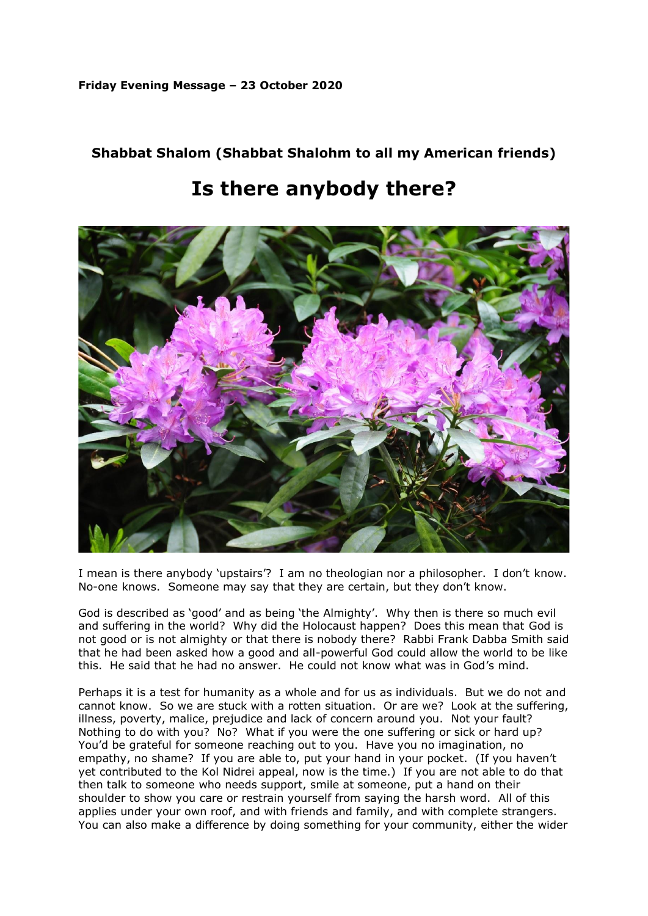## **Friday Evening Message – 23 October 2020**

## **Shabbat Shalom (Shabbat Shalohm to all my American friends)**

## **Is there anybody there?**



I mean is there anybody 'upstairs'? I am no theologian nor a philosopher. I don't know. No-one knows. Someone may say that they are certain, but they don't know.

God is described as 'good' and as being 'the Almighty'. Why then is there so much evil and suffering in the world? Why did the Holocaust happen? Does this mean that God is not good or is not almighty or that there is nobody there? Rabbi Frank Dabba Smith said that he had been asked how a good and all-powerful God could allow the world to be like this. He said that he had no answer. He could not know what was in God's mind.

Perhaps it is a test for humanity as a whole and for us as individuals. But we do not and cannot know. So we are stuck with a rotten situation. Or are we? Look at the suffering, illness, poverty, malice, prejudice and lack of concern around you. Not your fault? Nothing to do with you? No? What if you were the one suffering or sick or hard up? You'd be grateful for someone reaching out to you. Have you no imagination, no empathy, no shame? If you are able to, put your hand in your pocket. (If you haven't yet contributed to the Kol Nidrei appeal, now is the time.) If you are not able to do that then talk to someone who needs support, smile at someone, put a hand on their shoulder to show you care or restrain yourself from saying the harsh word. All of this applies under your own roof, and with friends and family, and with complete strangers. You can also make a difference by doing something for your community, either the wider